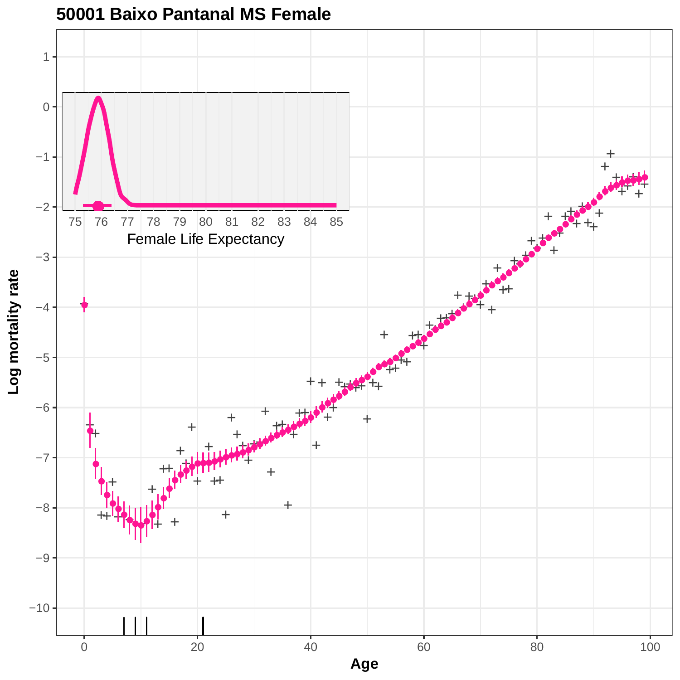

#### **50001 Baixo Pantanal MS Female**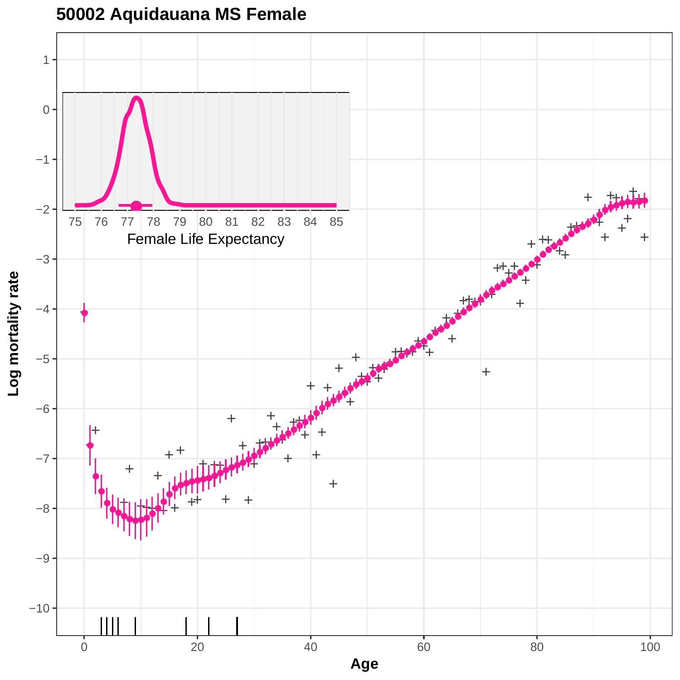

# **50002 Aquidauana MS Female**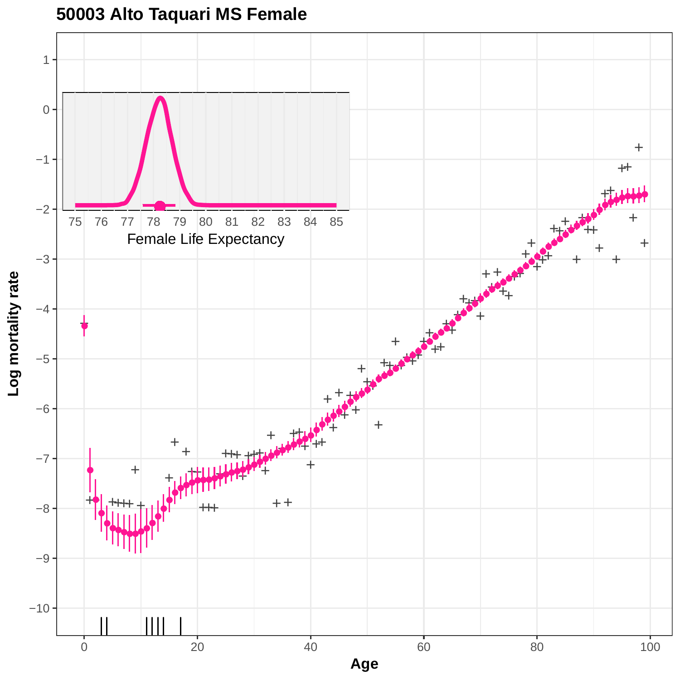

# **50003 Alto Taquari MS Female**

0 20 20 40 60 80 80 100 **Age**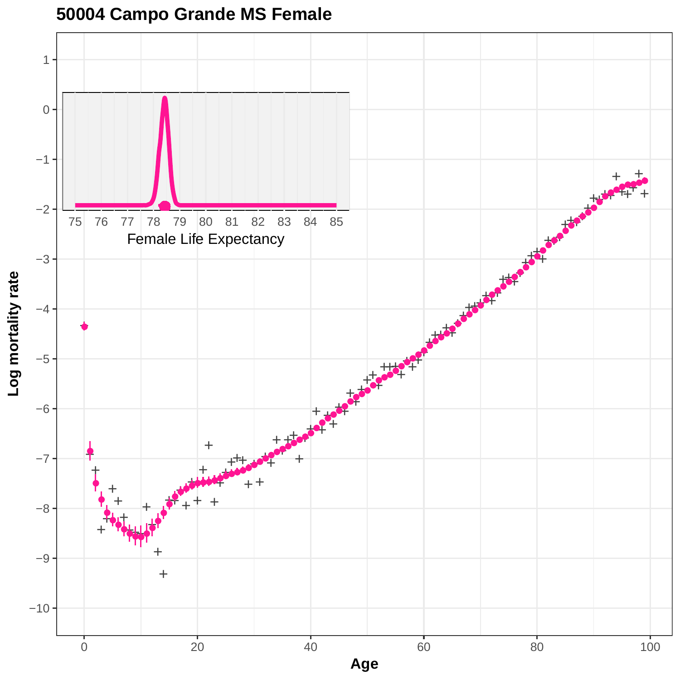

### **50004 Campo Grande MS Female**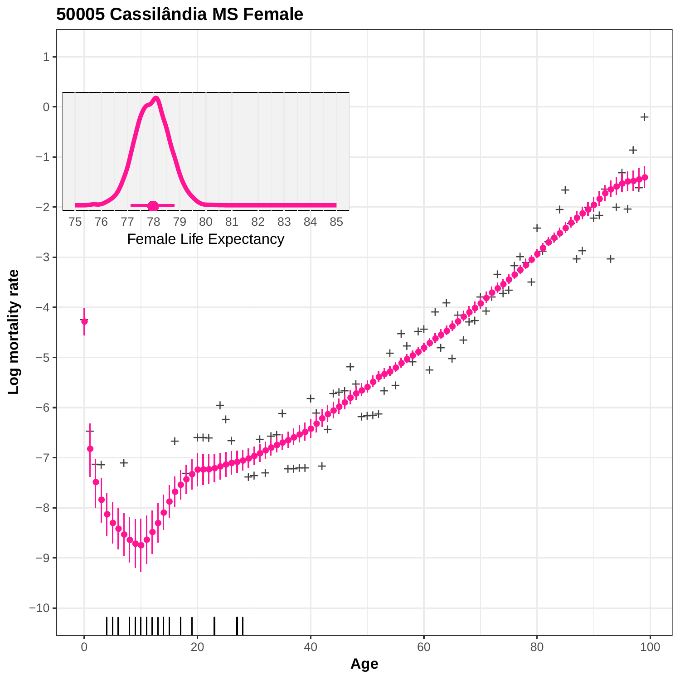

**50005 Cassilândia MS Female**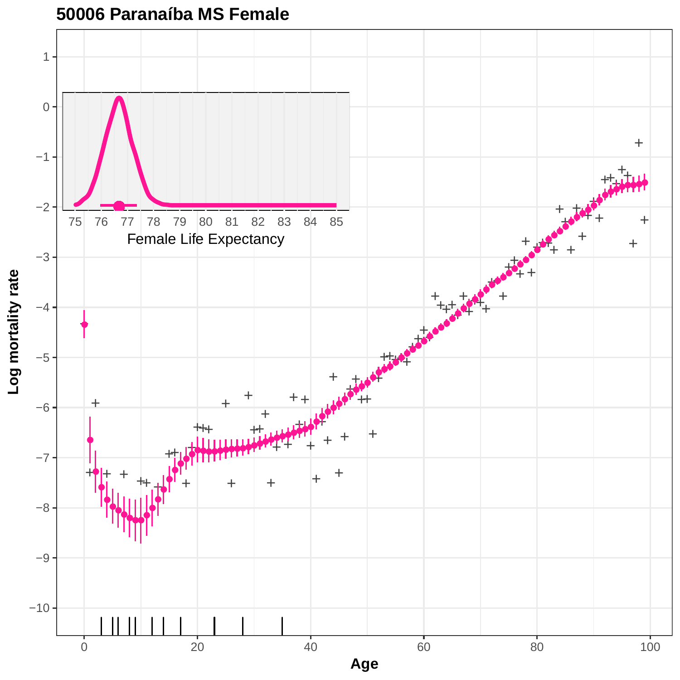

**50006 Paranaíba MS Female**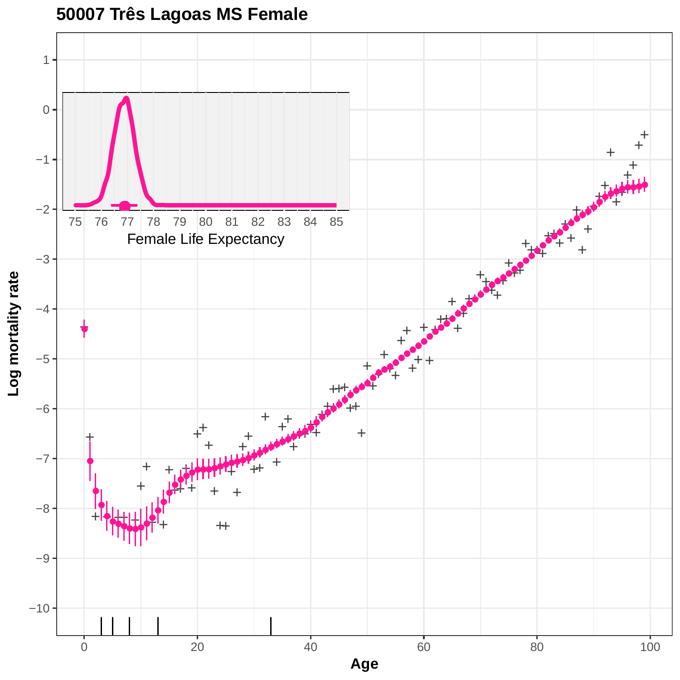

### **50007 Três Lagoas MS Female**

0 20 20 40 60 80 80 100 **Age**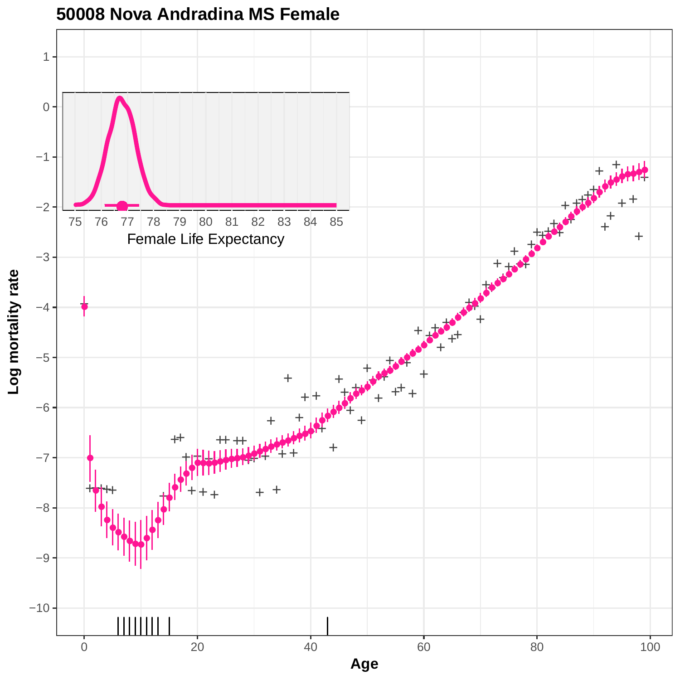

#### **50008 Nova Andradina MS Female**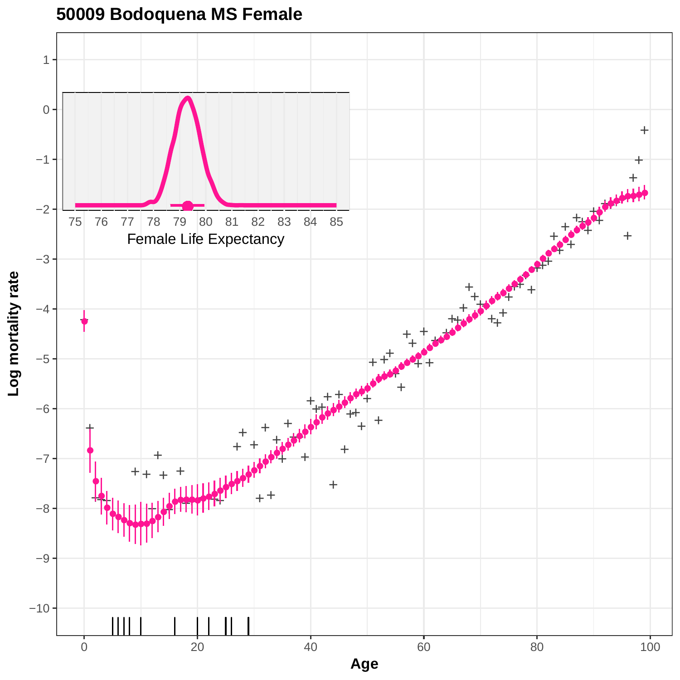

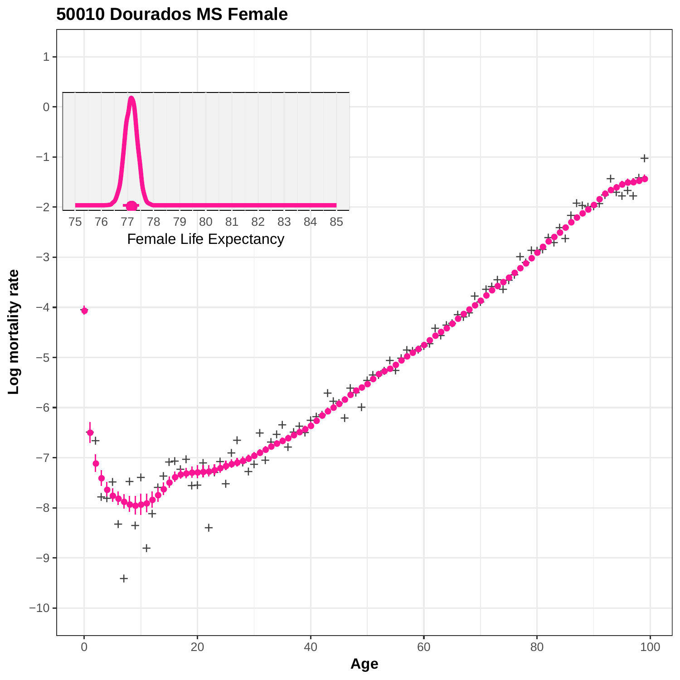

**50010 Dourados MS Female**